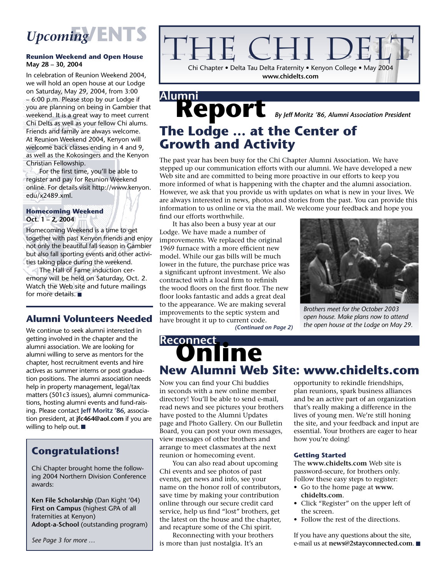# *Upcoming* **EVENTS**

### **Reunion Weekend and Open House May 28 – 30, 2004**

In celebration of Reunion Weekend 2004, we will hold an open house at our Lodge on Saturday, May 29, 2004, from 3:00 – 6:00 p.m. Please stop by our Lodge if you are planning on being in Gambier that weekend. It is a great way to meet current Chi Delts as well as your fellow Chi alums. Friends and family are always welcome. At Reunion Weekend 2004, Kenyon will welcome back classes ending in 4 and 9, as well as the Kokosingers and the Kenyon Christian Fellowship.

 For the first time, you'll be able to register and pay for Reunion Weekend online. For details visit http://www.kenyon. edu/x2489.xml.

### **Homecoming Weekend Oct. 1 – 2, 2004**

Homecoming Weekend is a time to get together with past Kenyon friends and enjoy not only the beautiful fall season in Gambier but also fall sporting events and other activities taking place during the weekend.

 The Hall of Fame induction ceremony will be held on Saturday, Oct. 2. Watch the Web site and future mailings for more details.

### **Alumni Volunteers Needed**

We continue to seek alumni interested in getting involved in the chapter and the alumni association. We are looking for alumni willing to serve as mentors for the chapter, host recruitment events and hire actives as summer interns or post graduation positions. The alumni association needs help in property management, legal/tax matters (501c3 issues), alumni communications, hosting alumni events and fund-raising. Please contact **Jeff Moritz '86**, association president, at **jfc464@aol.com** if you are willing to help out.

### **Congratulations!**

Chi Chapter brought home the following 2004 Northern Division Conference awards:

**Ken File Scholarship** (Dan Kight '04) **First on Campus** (highest GPA of all fraternities at Kenyon) **Adopt-a-School** (outstanding program)

*See Page 3 for more …*

### CHI D Chi Chapter • Delta Tau Delta Fraternity • Kenyon College • May 2004 **www.chidelts.com**

Report *By Jeff Moritz '86, Alumni Association President* **Alumni The Lodge … at the Center of Growth and Activity**

The past year has been busy for the Chi Chapter Alumni Association. We have stepped up our communication efforts with our alumni. We have developed a new Web site and are committed to being more proactive in our efforts to keep you more informed of what is happening with the chapter and the alumni association. However, we ask that you provide us with updates on what is new in your lives. We are always interested in news, photos and stories from the past. You can provide this information to us online or via the mail. We welcome your feedback and hope you find our efforts worthwhile.

 It has also been a busy year at our Lodge. We have made a number of improvements. We replaced the original 1969 furnace with a more efficient new model. While our gas bills will be much lower in the future, the purchase price was a significant upfront investment. We also contracted with a local firm to refinish the wood floors on the first floor. The new floor looks fantastic and adds a great deal to the appearance. We are making several improvements to the septic system and have brought it up to current code.



*Brothers meet for the October 2003 open house. Make plans now to attend the open house at the Lodge on May 29.*

*(Continued on Page 2)*

## Reconnect<br>**Online New Alumni Web Site: www.chidelts.com**

Now you can find your Chi buddies in seconds with a new online member directory! You'll be able to send e-mail, read news and see pictures your brothers have posted to the Alumni Updates page and Photo Gallery. On our Bulletin Board, you can post your own messages, view messages of other brothers and arrange to meet classmates at the next reunion or homecoming event.

 You can also read about upcoming Chi events and see photos of past events, get news and info, see your name on the honor roll of contributors, save time by making your contribution online through our secure credit card service, help us find "lost" brothers, get the latest on the house and the chapter, and recapture some of the Chi spirit.

 Reconnecting with your brothers is more than just nostalgia. It's an

opportunity to rekindle friendships, plan reunions, spark business alliances and be an active part of an organization that's really making a difference in the lives of young men. We're still honing the site, and your feedback and input are essential. Your brothers are eager to hear how you're doing!

### **Getting Started**

The **www.chidelts.com** Web site is password-secure, for brothers only. Follow these easy steps to register:

- Go to the home page at **www. chidelts.com**.
- Click "Register" on the upper left of the screen.
- Follow the rest of the directions.

If you have any questions about the site, e-mail us at **news@2stayconnected.com**.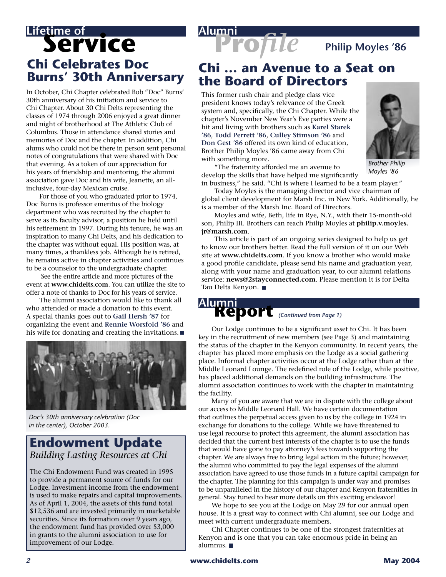## **Lifetime of<br>Service Chi Celebrates Doc Burns' 30th Anniversary**

In October, Chi Chapter celebrated Bob "Doc" Burns' 30th anniversary of his initiation and service to Chi Chapter. About 30 Chi Delts representing the classes of 1974 through 2006 enjoyed a great dinner and night of brotherhood at The Athletic Club of Columbus. Those in attendance shared stories and memories of Doc and the chapter. In addition, Chi alums who could not be there in person sent personal notes of congratulations that were shared with Doc that evening. As a token of our appreciation for his years of friendship and mentoring, the alumni association gave Doc and his wife, Jeanette, an allinclusive, four-day Mexican cruise.

 For those of you who graduated prior to 1974, Doc Burns is professor emeritus of the biology department who was recruited by the chapter to serve as its faculty advisor, a position he held until his retirement in 1997. During his tenure, he was an inspiration to many Chi Delts, and his dedication to the chapter was without equal. His position was, at many times, a thankless job. Although he is retired, he remains active in chapter activities and continues to be a counselor to the undergraduate chapter.

 See the entire article and more pictures of the event at **www.chidelts.com**. You can utilize the site to offer a note of thanks to Doc for his years of service.

 The alumni association would like to thank all who attended or made a donation to this event. A special thanks goes out to **Gail Hersh '87** for organizing the event and **Rennie Worsfold '86** and his wife for donating and creating the invitations.



*Doc's 30th anniversary celebration (Doc in the center), October 2003.*

### **Endowment Update** *Building Lasting Resources at Chi*

The Chi Endowment Fund was created in 1995 to provide a permanent source of funds for our Lodge. Investment income from the endowment is used to make repairs and capital improvements. As of April 1, 2004, the assets of this fund total \$12,536 and are invested primarily in marketable securities. Since its formation over 9 years ago, the endowment fund has provided over \$3,000 in grants to the alumni association to use for improvement of our Lodge.

# **Pro***file* **Philip Moyles '86**

### **Chi … an Avenue to a Seat on the Board of Directors**

This former rush chair and pledge class vice president knows today's relevance of the Greek system and, specifically, the Chi Chapter. While the chapter's November New Year's Eve parties were a hit and living with brothers such as **Karel Starek '86**, **Todd Perrett '86**, **Culley Stimson '86** and **Don Gest '86** offered its own kind of education, Brother Philip Moyles '86 came away from Chi with something more.



*Brother Philip Moyles '86*

 "The fraternity afforded me an avenue to develop the skills that have helped me significantly in business," he said. "Chi is where I learned to be a team player."

 Today Moyles is the managing director and vice chairman of global client development for Marsh Inc. in New York. Additionally, he is a member of the Marsh Inc. Board of Directors.

 Moyles and wife, Beth, life in Rye, N.Y., with their 15-month-old son, Philip III. Brothers can reach Philip Moyles at **philip.v.moyles. jr@marsh.com**.

 This article is part of an ongoing series designed to help us get to know our brothers better. Read the full version of it on our Web site at **www.chidelts.com**. If you know a brother who would make a good profile candidate, please send his name and graduation year, along with your name and graduation year, to our alumni relations service: **news@2stayconnected.com**. Please mention it is for Delta Tau Delta Kenyon.

# *(Continued from Page 1)* **Report Alumni**

 Our Lodge continues to be a significant asset to Chi. It has been key in the recruitment of new members (see Page 3) and maintaining the status of the chapter in the Kenyon community. In recent years, the chapter has placed more emphasis on the Lodge as a social gathering place. Informal chapter activities occur at the Lodge rather than at the Middle Leonard Lounge. The redefined role of the Lodge, while positive, has placed additional demands on the building infrastructure. The alumni association continues to work with the chapter in maintaining the facility.

 Many of you are aware that we are in dispute with the college about our access to Middle Leonard Hall. We have certain documentation that outlines the perpetual access given to us by the college in 1924 in exchange for donations to the college. While we have threatened to use legal recourse to protect this agreement, the alumni association has decided that the current best interests of the chapter is to use the funds that would have gone to pay attorney's fees towards supporting the chapter. We are always free to bring legal action in the future; however, the alumni who committed to pay the legal expenses of the alumni association have agreed to use those funds in a future capital campaign for the chapter. The planning for this campaign is under way and promises to be unparalleled in the history of our chapter and Kenyon fraternities in general. Stay tuned to hear more details on this exciting endeavor!

 We hope to see you at the Lodge on May 29 for our annual open house. It is a great way to connect with Chi alumni, see our Lodge and meet with current undergraduate members.

 Chi Chapter continues to be one of the strongest fraternities at Kenyon and is one that you can take enormous pride in being an alumnus.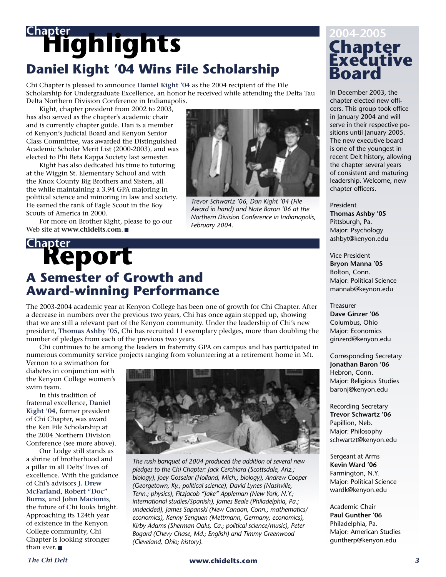# **Highlights Chapter Daniel Kight '04 Wins File Scholarship**

Chi Chapter is pleased to announce **Daniel Kight '04** as the 2004 recipient of the File Scholarship for Undergraduate Excellence, an honor he received while attending the Delta Tau Delta Northern Division Conference in Indianapolis.

 Kight, chapter president from 2002 to 2003, has also served as the chapter's academic chair and is currently chapter guide. Dan is a member of Kenyon's Judicial Board and Kenyon Senior Class Committee, was awarded the Distinguished Academic Scholar Merit List (2000-2003), and was elected to Phi Beta Kappa Society last semester.

 Kight has also dedicated his time to tutoring at the Wiggin St. Elementary School and with the Knox County Big Brothers and Sisters, all the while maintaining a 3.94 GPA majoring in political science and minoring in law and society. He earned the rank of Eagle Scout in the Boy Scouts of America in 2000.

 For more on Brother Kight, please to go our Web site at **www.chidelts.com**.

## **Report Chapter A Semester of Growth and Award-winning Performance**

The 2003-2004 academic year at Kenyon College has been one of growth for Chi Chapter. After a decrease in numbers over the previous two years, Chi has once again stepped up, showing that we are still a relevant part of the Kenyon community. Under the leadership of Chi's new president, **Thomas Ashby '05**, Chi has recruited 11 exemplary pledges, more than doubling the number of pledges from each of the previous two years.

 Chi continues to be among the leaders in fraternity GPA on campus and has participated in numerous community service projects ranging from volunteering at a retirement home in Mt.

Vernon to a swimathon for diabetes in conjunction with the Kenyon College women's swim team.

 In this tradition of fraternal excellence, **Daniel Kight '04**, former president of Chi Chapter, was award the Ken File Scholarship at the 2004 Northern Division Conference (see more above).

 Our Lodge still stands as a shrine of brotherhood and a pillar in all Delts' lives of excellence. With the guidance of Chi's advisors **J. Drew McFarland**, **Robert "Doc" Burns**, and **John Macionis**, the future of Chi looks bright. Approaching its 124th year of existence in the Kenyon College community, Chi Chapter is looking stronger than ever.



*Trevor Schwartz '06, Dan Kight '04 (File Award in hand) and Nate Baron '06 at the Northern Division Conference in Indianapolis,* 

*February 2004.*

*The rush banquet of 2004 produced the addition of several new pledges to the Chi Chapter: Jack Cerchiara (Scottsdale, Ariz.; biology), Joey Gosselar (Holland, Mich.; biology), Andrew Cooper (Georgetown, Ky.; political science), David Lynes (Nashville, Tenn.; physics), Fitzjacob "Jake" Appleman (New York, N.Y.; international studies/Spanish), James Beale (Philadelphia, Pa.; undecided), James Sapanski (New Canaan, Conn.; mathematics/ economics), Kenny Senguen (Mettmann, Germany; economics), Kirby Adams (Sherman Oaks, Ca.; political science/music), Peter Bogard (Chevy Chase, Md.; English) and Timmy Greenwood (Cleveland, Ohio; history).*

## **Chapter<br>Executive Board 2004-2005**

In December 2003, the chapter elected new officers. This group took office in January 2004 and will serve in their respective positions until January 2005. The new executive board is one of the youngest in recent Delt history, allowing the chapter several years of consistent and maturing leadership. Welcome, new chapter officers.

President **Thomas Ashby '05** Pittsburgh, Pa. Major: Psychology ashbyt@kenyon.edu

Vice President **Bryon Manna '05** Bolton, Conn. Major: Political Science mannab@keynon.edu

Treasurer **Dave Ginzer '06** Columbus, Ohio Major: Economics ginzerd@kenyon.edu

Corresponding Secretary **Jonathan Baron '06** Hebron, Conn. Major: Religious Studies baronj@kenyon.edu

Recording Secretary **Trevor Schwartz '06** Papillion, Neb. Major: Philosophy schwartzt@kenyon.edu

Sergeant at Arms **Kevin Ward '06** Farmington, N.Y. Major: Political Science wardk@kenyon.edu

Academic Chair **Paul Gunther '06** Philadelphia, Pa. Major: American Studies guntherp@kenyon.edu

### *The Chi Delt* **www.chidelts.com** *3*